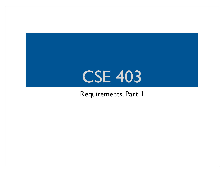### CSE 403

#### Requirements, Part II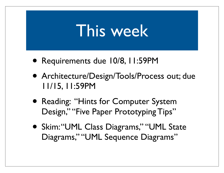### This week

- Requirements due 10/8, 11:59PM
- Architecture/Design/Tools/Process out; due 11/15, 11:59PM
- Reading: "Hints for Computer System Design," "Five Paper Prototyping Tips"
- Skim: "UML Class Diagrams," "UML State Diagrams," "UML Sequence Diagrams"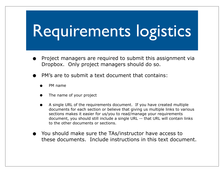### Requirements logistics

- Project managers are required to submit this assignment via Dropbox. Only project managers should do so.
- PM's are to submit a text document that contains:
	- PM name
	- The name of your project
	- A single URL of the requirements document. If you have created multiple documents for each section or believe that giving us multiple links to various sections makes it easier for us/you to read/manage your requirements document, you should still include a single URL -- that URL will contain links to the other documents or sections.
- You should make sure the TAs/instructor have access to these documents. Include instructions in this text document.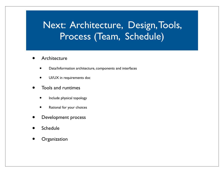### Next: Architecture, Design, Tools, Process (Team, Schedule)

- **Architecture** 
	- Data/Information architecture, components and interfaces
	- UI/UX in requirements doc
- Tools and runtimes
	- Include physical topology
	- Rational for your choices
- Development process
- **Schedule**
- **Organization**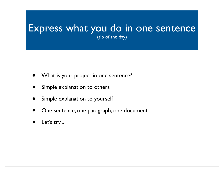#### Express what you do in one sentence (tip of the day)

- What is your project in one sentence?
- Simple explanation to others
- Simple explanation to yourself
- One sentence, one paragraph, one document
- Let's try...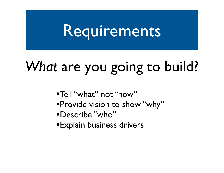### Requirements

### *What* are you going to build?

- •Tell "what" not "how"
- •Provide vision to show "why"
- •Describe "who"
- •Explain business drivers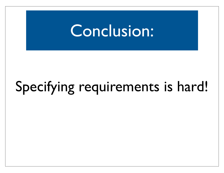### Conclusion:

### Specifying requirements is hard!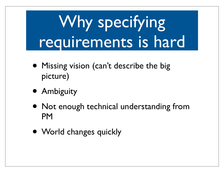## Why specifying requirements is hard

- Missing vision (can't describe the big picture)
- Ambiguity
- Not enough technical understanding from PM
- World changes quickly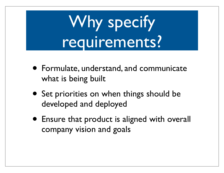## Why specify requirements?

- Formulate, understand, and communicate what is being built
- Set priorities on when things should be developed and deployed
- Ensure that product is aligned with overall company vision and goals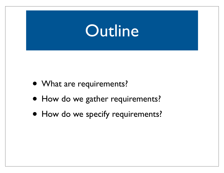### **Outline**

- What are requirements?
- How do we gather requirements?
- How do we specify requirements?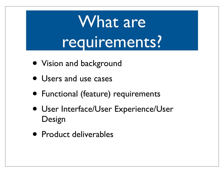## What are requirements?

- Vision and background
- **Users and use cases**
- Functional (feature) requirements
- User Interface/User Experience/User Design
- Product deliverables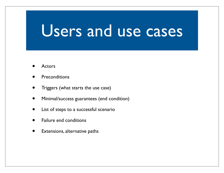### Users and use cases

- **Actors**
- **Preconditions**
- Triggers (what starts the use case)
- Minimal/success guarantees (end condition)
- List of steps to a successful scenario
- Failure end conditions
- Extensions, alternative paths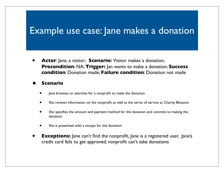#### Example use case: Jane makes a donation

• **Actor**: Jane, a visitor; **Scenario:** Visitor makes a donation; **Precondition**: NA; **Trigger:** Jan wants to make a donation; **Success condition**: Donation made; **Failure condition**: Donation not made

#### **• Scenario**

- Jane browses or searches for a nonprofit to make the donation
- She reviews information on the nonprofit as well as the terms of service at Charity Blossom
- She specifies the amount and payment method for the donation and commits to making the donation
- She is presented with a receipt for the donation
- **Exceptions:** Jane can't find the nonprofit, Jane is a registered user, Jane's credit card fails to get approved, nonprofit can't take donations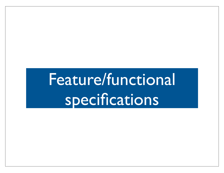## Feature/functional specifications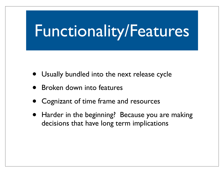### Functionality/Features

- Usually bundled into the next release cycle
- Broken down into features
- Cognizant of time frame and resources
- Harder in the beginning? Because you are making decisions that have long term implications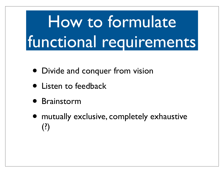## How to formulate functional requirements

- Divide and conquer from vision
- **Listen to feedback**
- Brainstorm
- mutually exclusive, completely exhaustive (?)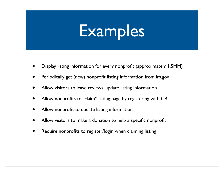## Examples

- Display listing information for every nonprofit (approximately 1.5MM)
- Periodically get (new) nonprofit listing information from irs.gov
- Allow visitors to leave reviews, update listing information
- Allow nonprofits to "claim" listing page by registering with CB.
- Allow nonprofit to update listing information
- Allow visitors to make a donation to help a specific nonprofit
- Require nonprofits to register/login when claiming listing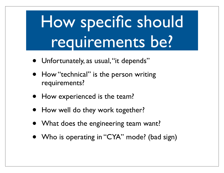## How specific should requirements be?

- Unfortunately, as usual, "it depends"
- How "technical" is the person writing requirements?
- How experienced is the team?
- How well do they work together?
- What does the engineering team want?
- Who is operating in "CYA" mode? (bad sign)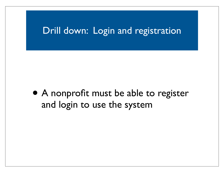#### Drill down: Login and registration

• A nonprofit must be able to register and login to use the system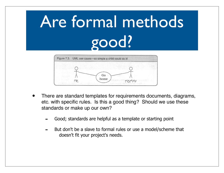# Are formal methods good?



- There are standard templates for requirements documents, diagrams, etc. with specific rules. Is this a good thing? Should we use these standards or make up our own?
	- Good; standards are helpful as a template or starting point
	- But don't be a slave to formal rules or use a model/scheme that doesn't fit your project's needs.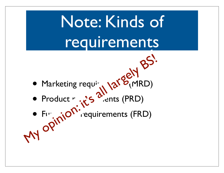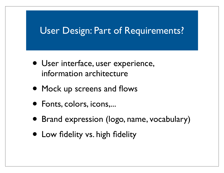#### User Design: Part of Requirements?

- User interface, user experience, information architecture
- Mock up screens and flows
- Fonts, colors, icons,...
- Brand expression (logo, name, vocabulary)
- Low fidelity vs. high fidelity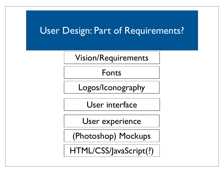#### User Design: Part of Requirements?

Vision/Requirements

Fonts

Logos/Iconography

User interface

User experience

(Photoshop) Mockups

HTML/CSS/JavaScript(?)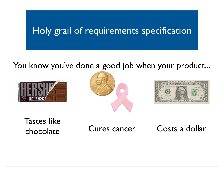#### Holy grail of requirements specification

#### You know you've done a good job when your product...







Tastes like

chocolate Cures cancer Costs a dollar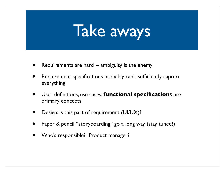

- Requirements are hard -- ambiguity is the enemy
- Requirement specifications probably can't sufficiently capture everything
- User definitions, use cases, **functional specifications** are primary concepts
- Design: Is this part of requirement (UI/UX)?
- Paper & pencil, "storyboarding" go a long way (stay tuned!)
- Who's responsible? Product manager?